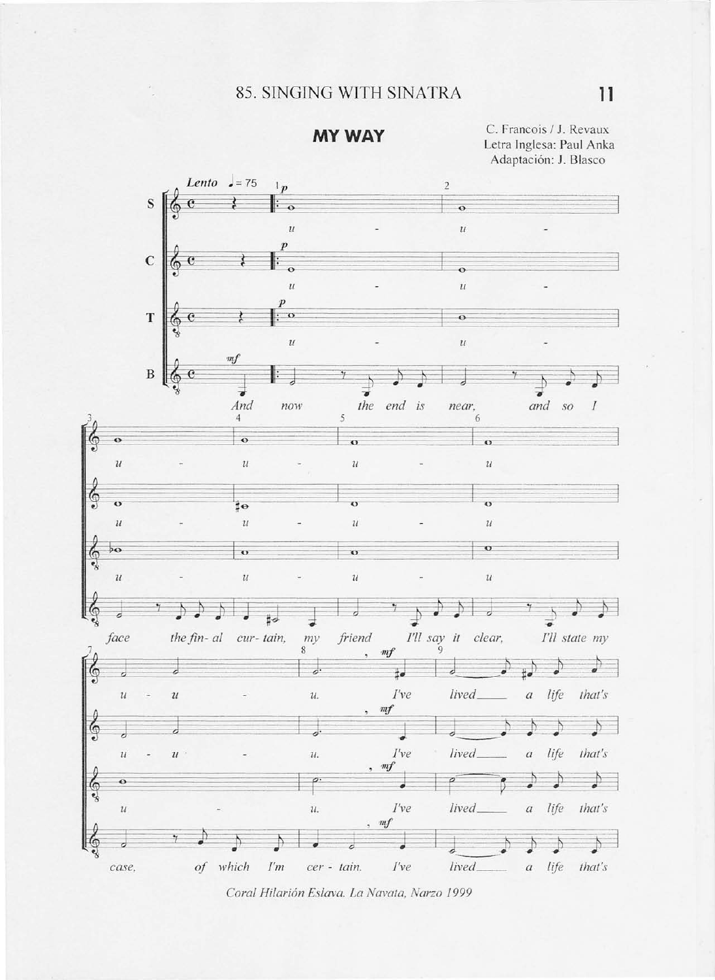## 85. SINGING WITH SINATRA

 $\frac{1}{\epsilon}$ 

**MY WAY** 

C. Francois / J. Revaux Letra Inglesa: Paul Anka Adaptación: J. Blasco



Coral Hilarión Eslava. La Navata, Narzo 1999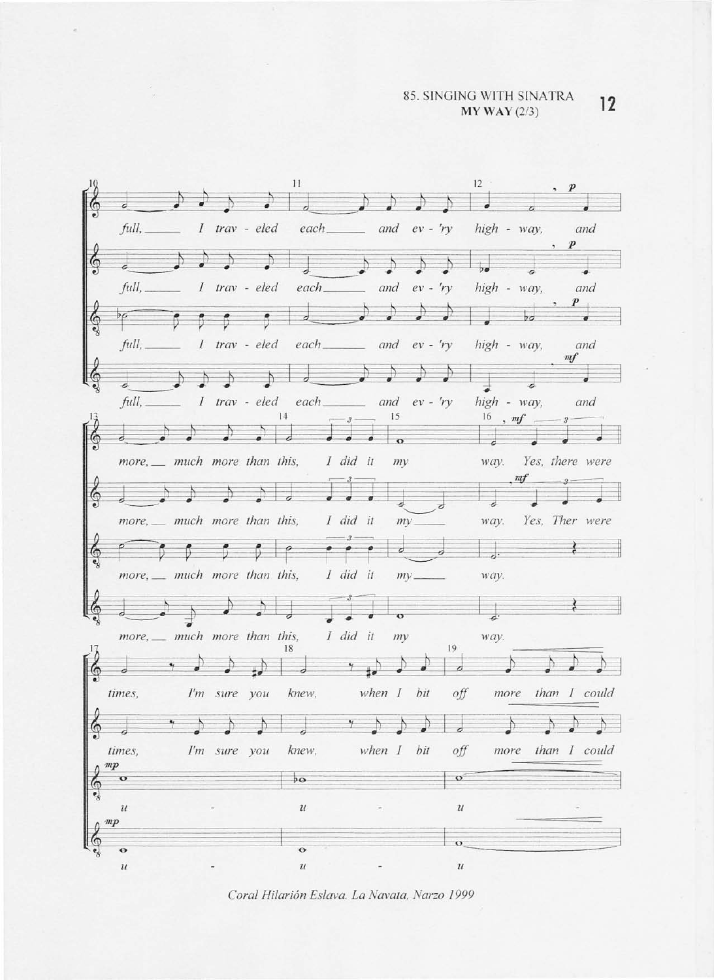85. SINGING WITH SINATRA  $12$ **MY WAY** (2/3)



Coral Hilarión Eslava. La Navata, Narzo 1999